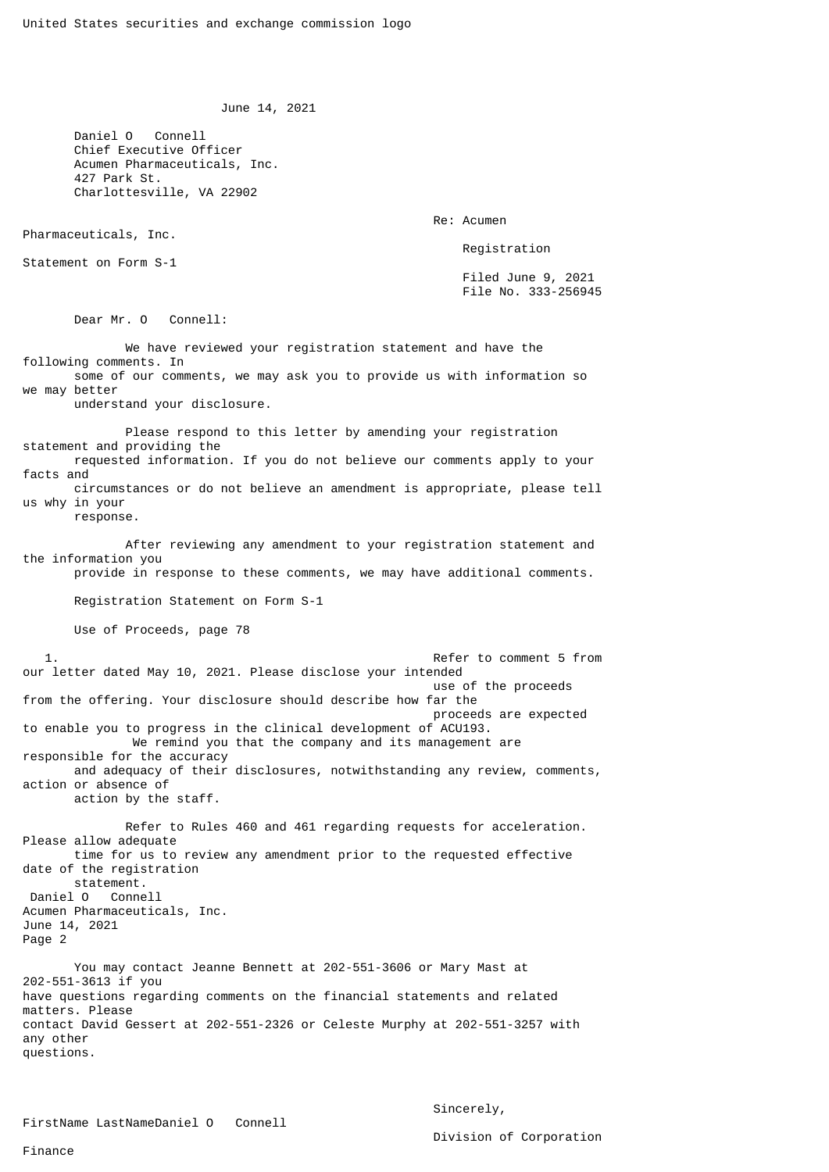June 14, 2021

 Daniel O Connell Chief Executive Officer Acumen Pharmaceuticals, Inc. 427 Park St. Charlottesville, VA 22902

Re: Acumen

Pharmaceuticals, Inc. Statement on Form S-1

Registration

 Filed June 9, 2021 File No. 333-256945

Dear Mr. O Connell:

 We have reviewed your registration statement and have the following comments. In some of our comments, we may ask you to provide us with information so we may better understand your disclosure. Please respond to this letter by amending your registration statement and providing the requested information. If you do not believe our comments apply to your facts and circumstances or do not believe an amendment is appropriate, please tell us why in your response. After reviewing any amendment to your registration statement and the information you provide in response to these comments, we may have additional comments. Registration Statement on Form S-1 Use of Proceeds, page 78 1. Refer to comment 5 from our letter dated May 10, 2021. Please disclose your intended use of the proceeds from the offering. Your disclosure should describe how far the proceeds are expected to enable you to progress in the clinical development of ACU193. We remind you that the company and its management are responsible for the accuracy and adequacy of their disclosures, notwithstanding any review, comments, action or absence of action by the staff. Refer to Rules 460 and 461 regarding requests for acceleration. Please allow adequate time for us to review any amendment prior to the requested effective date of the registration statement. Daniel O Connell Acumen Pharmaceuticals, Inc. June 14, 2021 Page 2 You may contact Jeanne Bennett at 202-551-3606 or Mary Mast at 202-551-3613 if you have questions regarding comments on the financial statements and related matters. Please contact David Gessert at 202-551-2326 or Celeste Murphy at 202-551-3257 with any other questions.

Sincerely,

Division of Corporation